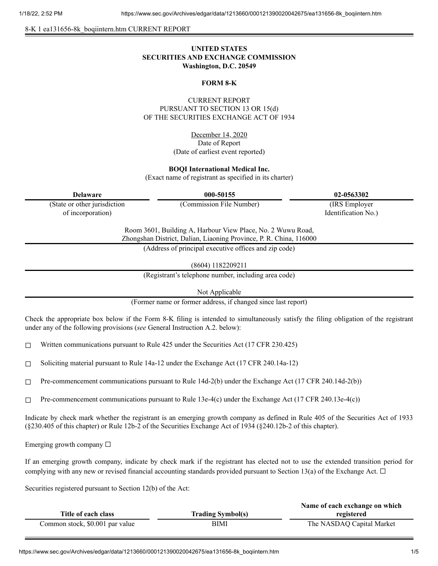#### 8-K 1 ea131656-8k\_boqiintern.htm CURRENT REPORT

# **UNITED STATES SECURITIES AND EXCHANGE COMMISSION Washington, D.C. 20549**

## **FORM 8-K**

# CURRENT REPORT PURSUANT TO SECTION 13 OR 15(d) OF THE SECURITIES EXCHANGE ACT OF 1934

December 14, 2020 Date of Report (Date of earliest event reported)

## **BOQI International Medical Inc.**

(Exact name of registrant as specified in its charter)

| <b>Delaware</b>              | 000-50155                                                                                                                         | 02-0563302          |
|------------------------------|-----------------------------------------------------------------------------------------------------------------------------------|---------------------|
| (State or other jurisdiction | (Commission File Number)                                                                                                          | (IRS Employer)      |
| of incorporation)            |                                                                                                                                   | Identification No.) |
|                              | Room 3601, Building A, Harbour View Place, No. 2 Wuwu Road,<br>Zhongshan District, Dalian, Liaoning Province, P. R. China, 116000 |                     |
|                              | (Address of principal executive offices and zip code)                                                                             |                     |

(8604) 1182209211

(Registrant's telephone number, including area code)

Not Applicable

(Former name or former address, if changed since last report)

Check the appropriate box below if the Form 8-K filing is intended to simultaneously satisfy the filing obligation of the registrant under any of the following provisions (*see* General Instruction A.2. below):

☐ Written communications pursuant to Rule 425 under the Securities Act (17 CFR 230.425)

□ Soliciting material pursuant to Rule  $14a-12$  under the Exchange Act (17 CFR 240.14a-12)

☐ Pre-commencement communications pursuant to Rule 14d-2(b) under the Exchange Act (17 CFR 240.14d-2(b))

 $\Box$  Pre-commencement communications pursuant to Rule 13e-4(c) under the Exchange Act (17 CFR 240.13e-4(c))

Indicate by check mark whether the registrant is an emerging growth company as defined in Rule 405 of the Securities Act of 1933 (§230.405 of this chapter) or Rule 12b-2 of the Securities Exchange Act of 1934 (§240.12b-2 of this chapter).

Emerging growth company  $\Box$ 

If an emerging growth company, indicate by check mark if the registrant has elected not to use the extended transition period for complying with any new or revised financial accounting standards provided pursuant to Section 13(a) of the Exchange Act.  $\Box$ 

Securities registered pursuant to Section 12(b) of the Act:

|                                 |                          | Name of each exchange on which |
|---------------------------------|--------------------------|--------------------------------|
| Title of each class             | <b>Trading Symbol(s)</b> | registered                     |
| Common stock, \$0.001 par value | BIMI                     | The NASDAQ Capital Market      |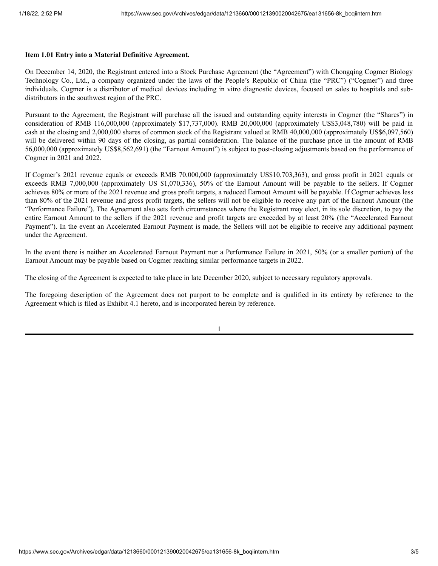## **Item 1.01 Entry into a Material Definitive Agreement.**

On December 14, 2020, the Registrant entered into a Stock Purchase Agreement (the "Agreement") with Chongqing Cogmer Biology Technology Co., Ltd., a company organized under the laws of the People's Republic of China (the "PRC") ("Cogmer") and three individuals. Cogmer is a distributor of medical devices including in vitro diagnostic devices, focused on sales to hospitals and subdistributors in the southwest region of the PRC.

Pursuant to the Agreement, the Registrant will purchase all the issued and outstanding equity interests in Cogmer (the "Shares") in consideration of RMB 116,000,000 (approximately \$17,737,000). RMB 20,000,000 (approximately US\$3,048,780) will be paid in cash at the closing and 2,000,000 shares of common stock of the Registrant valued at RMB 40,000,000 (approximately US\$6,097,560) will be delivered within 90 days of the closing, as partial consideration. The balance of the purchase price in the amount of RMB 56,000,000 (approximately US\$8,562,691) (the "Earnout Amount") is subject to post-closing adjustments based on the performance of Cogmer in 2021 and 2022.

If Cogmer's 2021 revenue equals or exceeds RMB 70,000,000 (approximately US\$10,703,363), and gross profit in 2021 equals or exceeds RMB 7,000,000 (approximately US \$1,070,336), 50% of the Earnout Amount will be payable to the sellers. If Cogmer achieves 80% or more of the 2021 revenue and gross profit targets, a reduced Earnout Amount will be payable. If Cogmer achieves less than 80% of the 2021 revenue and gross profit targets, the sellers will not be eligible to receive any part of the Earnout Amount (the "Performance Failure"). The Agreement also sets forth circumstances where the Registrant may elect, in its sole discretion, to pay the entire Earnout Amount to the sellers if the 2021 revenue and profit targets are exceeded by at least 20% (the "Accelerated Earnout Payment"). In the event an Accelerated Earnout Payment is made, the Sellers will not be eligible to receive any additional payment under the Agreement.

In the event there is neither an Accelerated Earnout Payment nor a Performance Failure in 2021, 50% (or a smaller portion) of the Earnout Amount may be payable based on Cogmer reaching similar performance targets in 2022.

The closing of the Agreement is expected to take place in late December 2020, subject to necessary regulatory approvals.

The foregoing description of the Agreement does not purport to be complete and is qualified in its entirety by reference to the Agreement which is filed as Exhibit 4.1 hereto, and is incorporated herein by reference.

1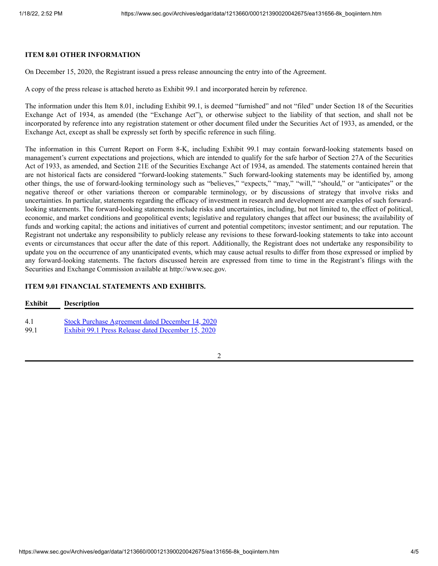## **ITEM 8.01 OTHER INFORMATION**

On December 15, 2020, the Registrant issued a press release announcing the entry into of the Agreement.

A copy of the press release is attached hereto as Exhibit 99.1 and incorporated herein by reference.

The information under this Item 8.01, including Exhibit 99.1, is deemed "furnished" and not "filed" under Section 18 of the Securities Exchange Act of 1934, as amended (the "Exchange Act"), or otherwise subject to the liability of that section, and shall not be incorporated by reference into any registration statement or other document filed under the Securities Act of 1933, as amended, or the Exchange Act, except as shall be expressly set forth by specific reference in such filing.

The information in this Current Report on Form 8-K, including Exhibit 99.1 may contain forward-looking statements based on management's current expectations and projections, which are intended to qualify for the safe harbor of Section 27A of the Securities Act of 1933, as amended, and Section 21E of the Securities Exchange Act of 1934, as amended. The statements contained herein that are not historical facts are considered "forward-looking statements." Such forward-looking statements may be identified by, among other things, the use of forward-looking terminology such as "believes," "expects," "may," "will," "should," or "anticipates" or the negative thereof or other variations thereon or comparable terminology, or by discussions of strategy that involve risks and uncertainties. In particular, statements regarding the efficacy of investment in research and development are examples of such forwardlooking statements. The forward-looking statements include risks and uncertainties, including, but not limited to, the effect of political, economic, and market conditions and geopolitical events; legislative and regulatory changes that affect our business; the availability of funds and working capital; the actions and initiatives of current and potential competitors; investor sentiment; and our reputation. The Registrant not undertake any responsibility to publicly release any revisions to these forward-looking statements to take into account events or circumstances that occur after the date of this report. Additionally, the Registrant does not undertake any responsibility to update you on the occurrence of any unanticipated events, which may cause actual results to differ from those expressed or implied by any forward-looking statements. The factors discussed herein are expressed from time to time in the Registrant's filings with the Securities and Exchange Commission available at http://www.sec.gov.

## **ITEM 9.01 FINANCIAL STATEMENTS AND EXHIBITS.**

| <b>Exhibit</b> | <b>Description</b>                                      |
|----------------|---------------------------------------------------------|
| 4.1            | <b>Stock Purchase Agreement dated December 14, 2020</b> |
| 99.1           | Exhibit 99.1 Press Release dated December 15, 2020      |

2